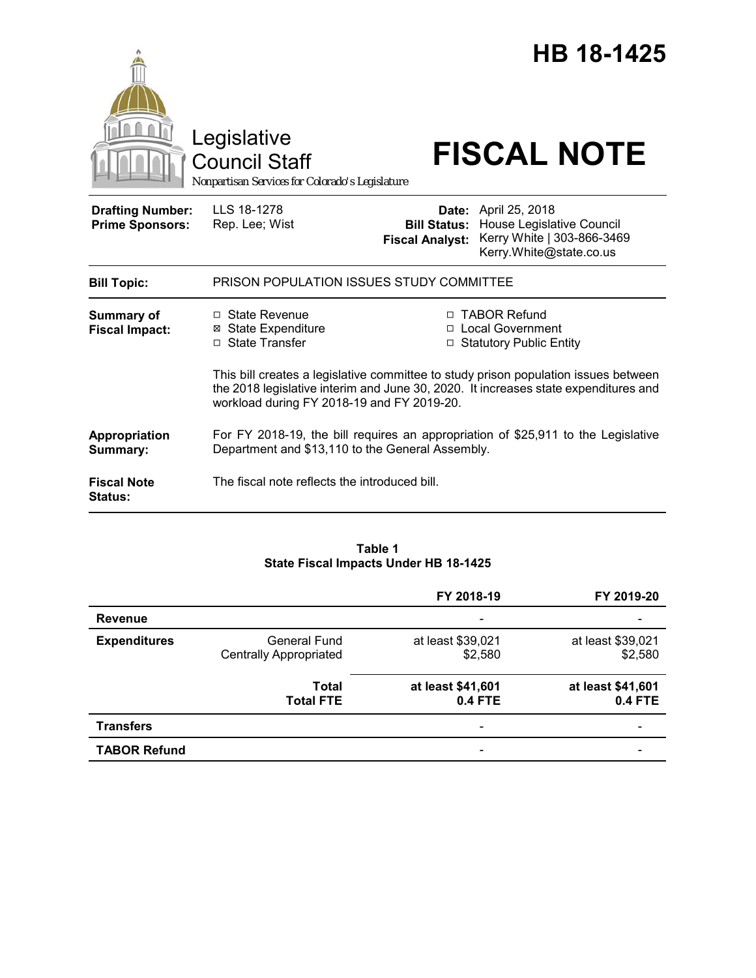|                                                   | Legislative<br><b>Council Staff</b><br>Nonpartisan Services for Colorado's Legislature                                                                                                                                   |                                                                   | HB 18-1425<br><b>FISCAL NOTE</b>                                                                                                      |  |
|---------------------------------------------------|--------------------------------------------------------------------------------------------------------------------------------------------------------------------------------------------------------------------------|-------------------------------------------------------------------|---------------------------------------------------------------------------------------------------------------------------------------|--|
| <b>Drafting Number:</b><br><b>Prime Sponsors:</b> | LLS 18-1278<br>Rep. Lee; Wist                                                                                                                                                                                            | <b>Fiscal Analyst:</b>                                            | <b>Date:</b> April 25, 2018<br><b>Bill Status: House Legislative Council</b><br>Kerry White   303-866-3469<br>Kerry.White@state.co.us |  |
| <b>Bill Topic:</b>                                | PRISON POPULATION ISSUES STUDY COMMITTEE                                                                                                                                                                                 |                                                                   |                                                                                                                                       |  |
| <b>Summary of</b><br><b>Fiscal Impact:</b>        | $\Box$ State Revenue<br><b>⊠</b> State Expenditure<br>□ State Transfer                                                                                                                                                   | □ TABOR Refund<br>□ Local Government<br>□ Statutory Public Entity |                                                                                                                                       |  |
|                                                   | This bill creates a legislative committee to study prison population issues between<br>the 2018 legislative interim and June 30, 2020. It increases state expenditures and<br>workload during FY 2018-19 and FY 2019-20. |                                                                   |                                                                                                                                       |  |
| Appropriation<br>Summary:                         | For FY 2018-19, the bill requires an appropriation of \$25,911 to the Legislative<br>Department and \$13,110 to the General Assembly.                                                                                    |                                                                   |                                                                                                                                       |  |
| <b>Fiscal Note</b><br><b>Status:</b>              | The fiscal note reflects the introduced bill.                                                                                                                                                                            |                                                                   |                                                                                                                                       |  |

## **Table 1 State Fiscal Impacts Under HB 18-1425**

|                     |                                                      | FY 2018-19                          | FY 2019-20                          |
|---------------------|------------------------------------------------------|-------------------------------------|-------------------------------------|
| <b>Revenue</b>      |                                                      |                                     |                                     |
| <b>Expenditures</b> | <b>General Fund</b><br><b>Centrally Appropriated</b> | at least \$39,021<br>\$2,580        | at least \$39,021<br>\$2,580        |
|                     | <b>Total</b><br><b>Total FTE</b>                     | at least \$41,601<br><b>0.4 FTE</b> | at least \$41,601<br><b>0.4 FTE</b> |
| <b>Transfers</b>    |                                                      |                                     |                                     |
| <b>TABOR Refund</b> |                                                      | $\overline{\phantom{a}}$            |                                     |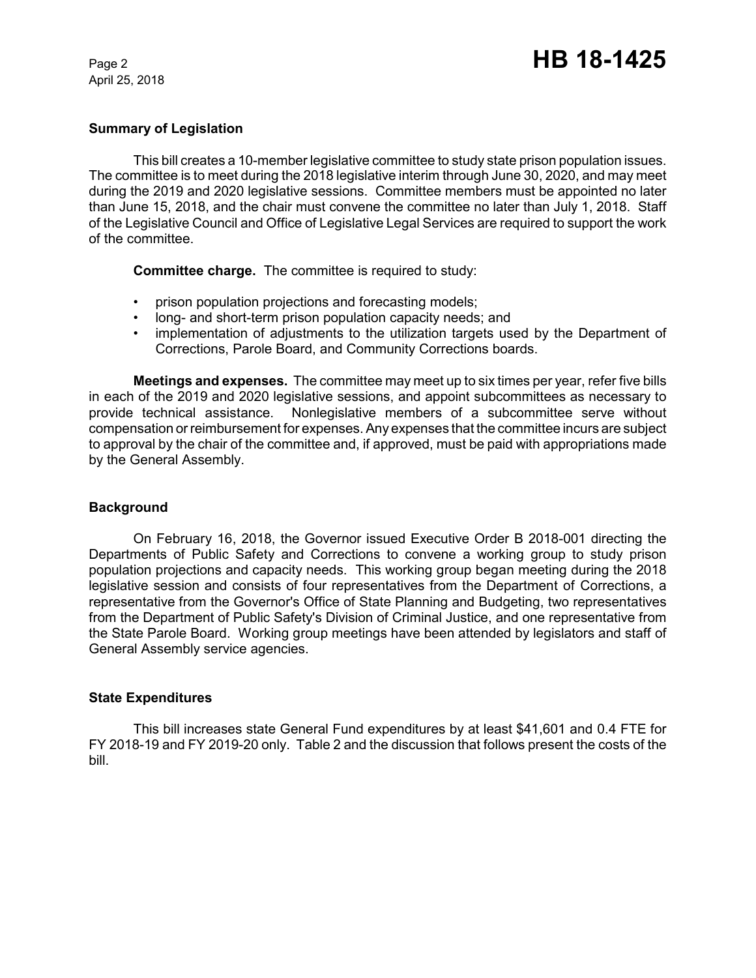April 25, 2018

## **Summary of Legislation**

This bill creates a 10-member legislative committee to study state prison population issues. The committee is to meet during the 2018 legislative interim through June 30, 2020, and may meet during the 2019 and 2020 legislative sessions. Committee members must be appointed no later than June 15, 2018, and the chair must convene the committee no later than July 1, 2018. Staff of the Legislative Council and Office of Legislative Legal Services are required to support the work of the committee.

**Committee charge.** The committee is required to study:

- prison population projections and forecasting models;
- long- and short-term prison population capacity needs; and
- implementation of adjustments to the utilization targets used by the Department of Corrections, Parole Board, and Community Corrections boards.

**Meetings and expenses.** The committee may meet up to six times per year, refer five bills in each of the 2019 and 2020 legislative sessions, and appoint subcommittees as necessary to provide technical assistance. Nonlegislative members of a subcommittee serve without compensation or reimbursement for expenses. Any expenses that the committee incurs are subject to approval by the chair of the committee and, if approved, must be paid with appropriations made by the General Assembly.

#### **Background**

On February 16, 2018, the Governor issued Executive Order B 2018-001 directing the Departments of Public Safety and Corrections to convene a working group to study prison population projections and capacity needs. This working group began meeting during the 2018 legislative session and consists of four representatives from the Department of Corrections, a representative from the Governor's Office of State Planning and Budgeting, two representatives from the Department of Public Safety's Division of Criminal Justice, and one representative from the State Parole Board. Working group meetings have been attended by legislators and staff of General Assembly service agencies.

#### **State Expenditures**

This bill increases state General Fund expenditures by at least \$41,601 and 0.4 FTE for FY 2018-19 and FY 2019-20 only. Table 2 and the discussion that follows present the costs of the bill.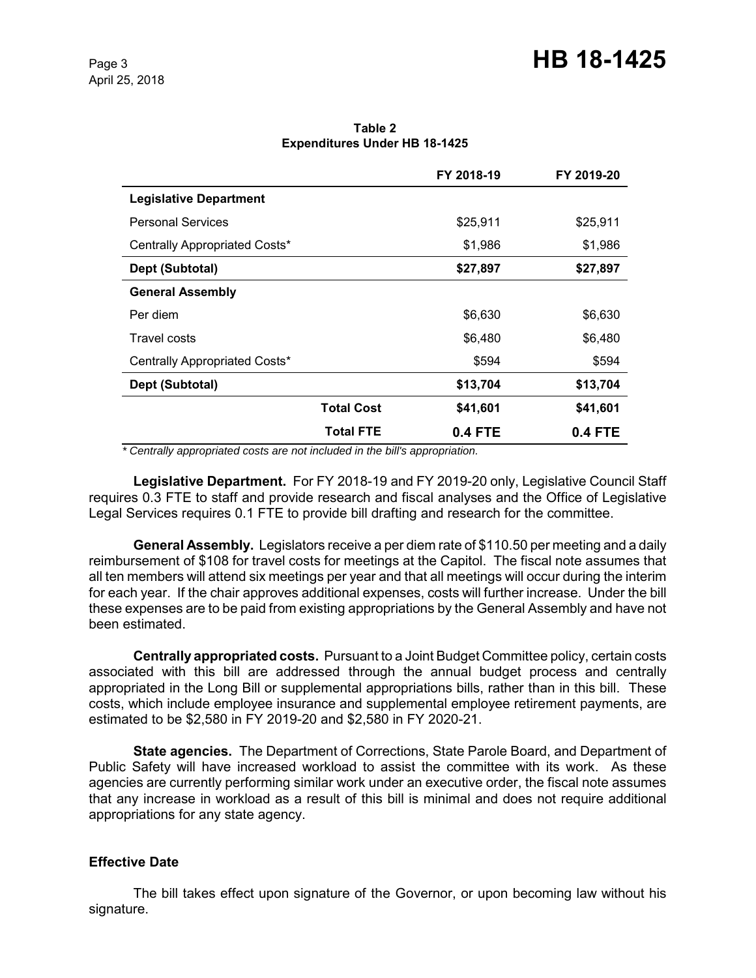**Table 2 Expenditures Under HB 18-1425**

|                               |                   | FY 2018-19 | FY 2019-20 |
|-------------------------------|-------------------|------------|------------|
| <b>Legislative Department</b> |                   |            |            |
| <b>Personal Services</b>      |                   | \$25,911   | \$25,911   |
| Centrally Appropriated Costs* |                   | \$1,986    | \$1,986    |
| Dept (Subtotal)               |                   | \$27,897   | \$27,897   |
| <b>General Assembly</b>       |                   |            |            |
| Per diem                      |                   | \$6,630    | \$6,630    |
| Travel costs                  |                   | \$6,480    | \$6,480    |
| Centrally Appropriated Costs* |                   | \$594      | \$594      |
| Dept (Subtotal)               |                   | \$13,704   | \$13,704   |
|                               | <b>Total Cost</b> | \$41,601   | \$41,601   |
|                               | <b>Total FTE</b>  | 0.4 FTE    | 0.4 FTE    |

 *\* Centrally appropriated costs are not included in the bill's appropriation.*

**Legislative Department.** For FY 2018-19 and FY 2019-20 only, Legislative Council Staff requires 0.3 FTE to staff and provide research and fiscal analyses and the Office of Legislative Legal Services requires 0.1 FTE to provide bill drafting and research for the committee.

**General Assembly.** Legislators receive a per diem rate of \$110.50 per meeting and a daily reimbursement of \$108 for travel costs for meetings at the Capitol. The fiscal note assumes that all ten members will attend six meetings per year and that all meetings will occur during the interim for each year.If the chair approves additional expenses, costs will further increase. Under the bill these expenses are to be paid from existing appropriations by the General Assembly and have not been estimated.

**Centrally appropriated costs.** Pursuant to a Joint Budget Committee policy, certain costs associated with this bill are addressed through the annual budget process and centrally appropriated in the Long Bill or supplemental appropriations bills, rather than in this bill. These costs, which include employee insurance and supplemental employee retirement payments, are estimated to be \$2,580 in FY 2019-20 and \$2,580 in FY 2020-21.

**State agencies.** The Department of Corrections, State Parole Board, and Department of Public Safety will have increased workload to assist the committee with its work. As these agencies are currently performing similar work under an executive order, the fiscal note assumes that any increase in workload as a result of this bill is minimal and does not require additional appropriations for any state agency.

## **Effective Date**

The bill takes effect upon signature of the Governor, or upon becoming law without his signature.